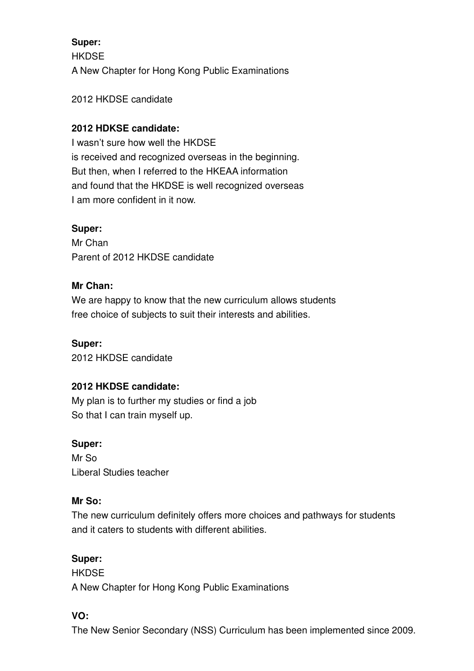# **Super: HKDSE** A New Chapter for Hong Kong Public Examinations

2012 HKDSE candidate

### **2012 HDKSE candidate:**

I wasn't sure how well the HKDSE is received and recognized overseas in the beginning. But then, when I referred to the HKEAA information and found that the HKDSE is well recognized overseas I am more confident in it now.

### **Super:**

Mr Chan Parent of 2012 HKDSE candidate

### **Mr Chan:**

We are happy to know that the new curriculum allows students free choice of subjects to suit their interests and abilities.

**Super:**  2012 HKDSE candidate

### **2012 HKDSE candidate:**

My plan is to further my studies or find a job So that I can train myself up.

### **Super:**

Mr So Liberal Studies teacher

### **Mr So:**

The new curriculum definitely offers more choices and pathways for students and it caters to students with different abilities.

### **Super:**

**HKDSF** A New Chapter for Hong Kong Public Examinations

### **VO:**

The New Senior Secondary (NSS) Curriculum has been implemented since 2009.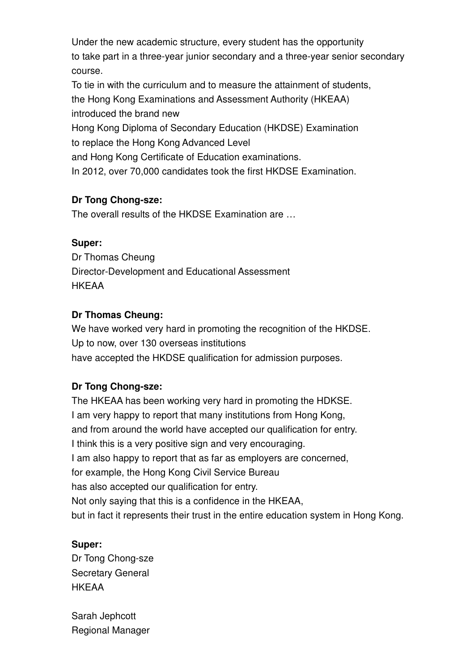Under the new academic structure, every student has the opportunity to take part in a three-year junior secondary and a three-year senior secondary course.

To tie in with the curriculum and to measure the attainment of students, the Hong Kong Examinations and Assessment Authority (HKEAA) introduced the brand new Hong Kong Diploma of Secondary Education (HKDSE) Examination to replace the Hong Kong Advanced Level and Hong Kong Certificate of Education examinations.

In 2012, over 70,000 candidates took the first HKDSE Examination.

### **Dr Tong Chong-sze:**

The overall results of the HKDSE Examination are …

### **Super:**

Dr Thomas Cheung Director-Development and Educational Assessment **HKFAA** 

### **Dr Thomas Cheung:**

We have worked very hard in promoting the recognition of the HKDSE. Up to now, over 130 overseas institutions have accepted the HKDSE qualification for admission purposes.

## **Dr Tong Chong-sze:**

The HKEAA has been working very hard in promoting the HDKSE. I am very happy to report that many institutions from Hong Kong, and from around the world have accepted our qualification for entry. I think this is a very positive sign and very encouraging. I am also happy to report that as far as employers are concerned, for example, the Hong Kong Civil Service Bureau has also accepted our qualification for entry. Not only saying that this is a confidence in the HKEAA, but in fact it represents their trust in the entire education system in Hong Kong.

### **Super:**

Dr Tong Chong-sze Secretary General **HKFAA** 

Sarah Jephcott Regional Manager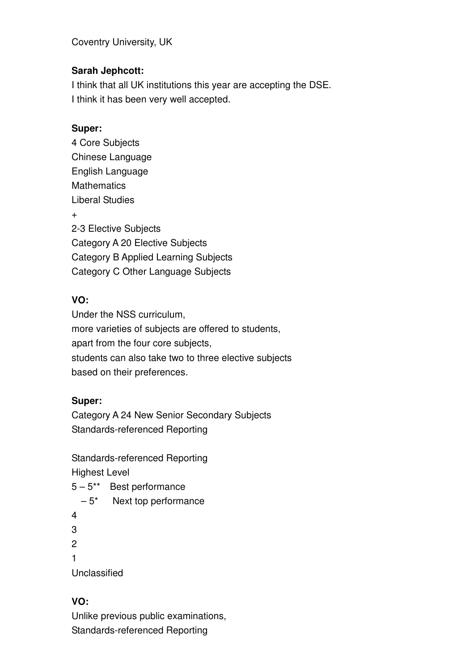Coventry University, UK

## **Sarah Jephcott:**

I think that all UK institutions this year are accepting the DSE. I think it has been very well accepted.

### **Super:**

4 Core Subjects Chinese Language English Language **Mathematics** Liberal Studies + 2-3 Elective Subjects Category A 20 Elective Subjects Category B Applied Learning Subjects Category C Other Language Subjects

## **VO:**

Under the NSS curriculum, more varieties of subjects are offered to students, apart from the four core subjects, students can also take two to three elective subjects based on their preferences.

## **Super:**

Category A 24 New Senior Secondary Subjects Standards-referenced Reporting

Standards-referenced Reporting

Highest Level

- 5 5\*\* Best performance
	- $-5<sup>*</sup>$  Next top performance
- 4 3
- $\mathfrak{p}$
- 1

Unclassified

# **VO:**

Unlike previous public examinations, Standards-referenced Reporting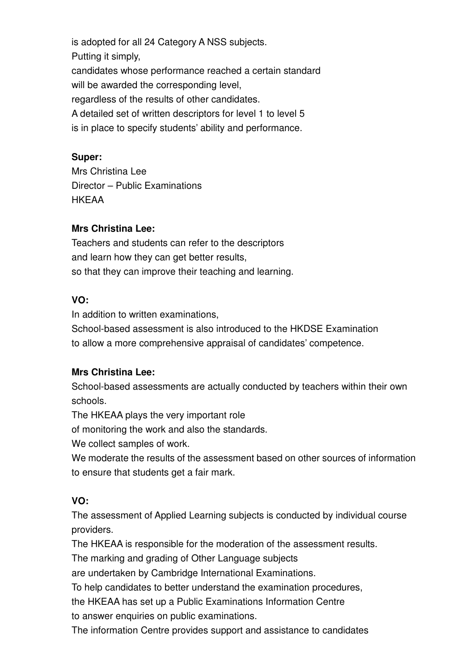is adopted for all 24 Category A NSS subjects. Putting it simply, candidates whose performance reached a certain standard will be awarded the corresponding level, regardless of the results of other candidates. A detailed set of written descriptors for level 1 to level 5 is in place to specify students' ability and performance.

#### **Super:**

Mrs Christina Lee Director – Public Examinations **HKFAA** 

#### **Mrs Christina Lee:**

Teachers and students can refer to the descriptors and learn how they can get better results, so that they can improve their teaching and learning.

#### **VO:**

In addition to written examinations, School-based assessment is also introduced to the HKDSE Examination to allow a more comprehensive appraisal of candidates' competence.

### **Mrs Christina Lee:**

School-based assessments are actually conducted by teachers within their own schools.

The HKEAA plays the very important role

of monitoring the work and also the standards.

We collect samples of work.

We moderate the results of the assessment based on other sources of information to ensure that students get a fair mark.

### **VO:**

The assessment of Applied Learning subjects is conducted by individual course providers.

The HKEAA is responsible for the moderation of the assessment results.

The marking and grading of Other Language subjects

are undertaken by Cambridge International Examinations.

To help candidates to better understand the examination procedures,

the HKEAA has set up a Public Examinations Information Centre

to answer enquiries on public examinations.

The information Centre provides support and assistance to candidates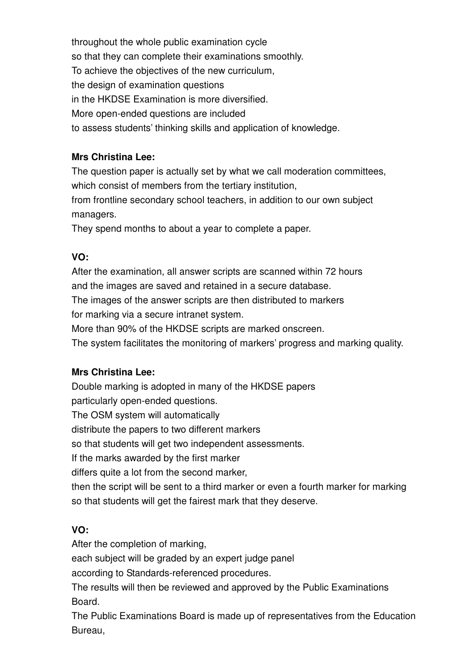throughout the whole public examination cycle so that they can complete their examinations smoothly. To achieve the objectives of the new curriculum, the design of examination questions in the HKDSE Examination is more diversified. More open-ended questions are included to assess students' thinking skills and application of knowledge.

### **Mrs Christina Lee:**

The question paper is actually set by what we call moderation committees, which consist of members from the tertiary institution,

from frontline secondary school teachers, in addition to our own subject managers.

They spend months to about a year to complete a paper.

# **VO:**

After the examination, all answer scripts are scanned within 72 hours and the images are saved and retained in a secure database. The images of the answer scripts are then distributed to markers

for marking via a secure intranet system.

More than 90% of the HKDSE scripts are marked onscreen.

The system facilitates the monitoring of markers' progress and marking quality.

## **Mrs Christina Lee:**

Double marking is adopted in many of the HKDSE papers particularly open-ended questions. The OSM system will automatically distribute the papers to two different markers so that students will get two independent assessments. If the marks awarded by the first marker differs quite a lot from the second marker, then the script will be sent to a third marker or even a fourth marker for marking so that students will get the fairest mark that they deserve.

# **VO:**

After the completion of marking,

each subject will be graded by an expert judge panel

according to Standards-referenced procedures.

The results will then be reviewed and approved by the Public Examinations Board.

The Public Examinations Board is made up of representatives from the Education Bureau,